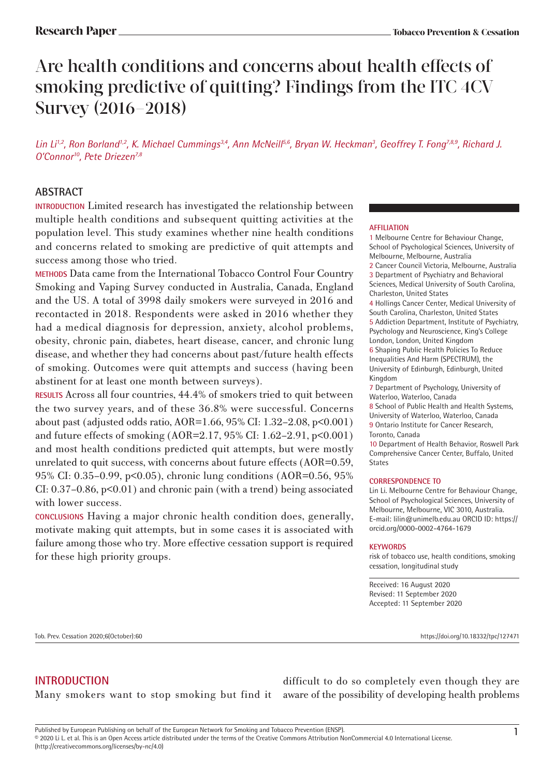# Are health conditions and concerns about health effects of smoking predictive of quitting? Findings from the ITC 4CV Survey (2016-2018)

*Lin Li1,2, Ron Borland1,2, K. Michael Cummings3,4, Ann McNeill5,6, Bryan W. Heckman3 , Geoffrey T. Fong7,8,9, Richard J. O'Connor10, Pete Driezen7,8*

## **ABSTRACT**

**INTRODUCTION** Limited research has investigated the relationship between multiple health conditions and subsequent quitting activities at the population level. This study examines whether nine health conditions and concerns related to smoking are predictive of quit attempts and success among those who tried.

**METHODS** Data came from the International Tobacco Control Four Country Smoking and Vaping Survey conducted in Australia, Canada, England and the US. A total of 3998 daily smokers were surveyed in 2016 and recontacted in 2018. Respondents were asked in 2016 whether they had a medical diagnosis for depression, anxiety, alcohol problems, obesity, chronic pain, diabetes, heart disease, cancer, and chronic lung disease, and whether they had concerns about past/future health effects of smoking. Outcomes were quit attempts and success (having been abstinent for at least one month between surveys).

**RESULTS** Across all four countries, 44.4% of smokers tried to quit between the two survey years, and of these 36.8% were successful. Concerns about past (adjusted odds ratio, AOR=1.66, 95% CI: 1.32–2.08, p<0.001) and future effects of smoking (AOR=2.17, 95% CI: 1.62–2.91, p<0.001) and most health conditions predicted quit attempts, but were mostly unrelated to quit success, with concerns about future effects (AOR=0.59, 95% CI: 0.35–0.99, p<0.05), chronic lung conditions (AOR=0.56, 95% CI:  $0.37-0.86$ ,  $p<0.01$ ) and chronic pain (with a trend) being associated with lower success.

**CONCLUSIONS** Having a major chronic health condition does, generally, motivate making quit attempts, but in some cases it is associated with failure among those who try. More effective cessation support is required for these high priority groups.

### **AFFILIATION**

1 Melbourne Centre for Behaviour Change, School of Psychological Sciences, University of Melbourne, Melbourne, Australia

2 Cancer Council Victoria, Melbourne, Australia 3 Department of Psychiatry and Behavioral Sciences, Medical University of South Carolina, Charleston, United States

4 Hollings Cancer Center, Medical University of South Carolina, Charleston, United States 5 Addiction Department, Institute of Psychiatry, Psychology and Neuroscience, King's College

London, London, United Kingdom 6 Shaping Public Health Policies To Reduce Inequalities And Harm (SPECTRUM), the University of Edinburgh, Edinburgh, United Kingdom

7 Department of Psychology, University of Waterloo, Waterloo, Canada

- 8 School of Public Health and Health Systems, University of Waterloo, Waterloo, Canada
- 9 Ontario Institute for Cancer Research, Toronto, Canada

10 Department of Health Behavior, Roswell Park Comprehensive Cancer Center, Buffalo, United **States** 

### **CORRESPONDENCE TO**

Lin Li. Melbourne Centre for Behaviour Change, School of Psychological Sciences, University of Melbourne, Melbourne, VIC 3010, Australia. E-mail: lilin@unimelb.edu.au ORCID ID: https:// orcid.org/0000-0002-4764-1679

### **KEYWORDS**

risk of tobacco use, health conditions, smoking cessation, longitudinal study

Received: 16 August 2020 Revised: 11 September 2020 Accepted: 11 September 2020

Tob. Prev. Cessation 2020;6(October):60 https://doi.org/10.18332/tpc/127471

# **INTRODUCTION**

Many smokers want to stop smoking but find it aware of the possibility of developing health problems difficult to do so completely even though they are

(http://creativecommons.org/licenses/by-nc/4.0)

Published by European Publishing on behalf of the European Network for Smoking and Tobacco Prevention (ENSP).<br>© 2020 Li L. et al. This is an Open Access article distributed under the terms of the Creative Commons Attribut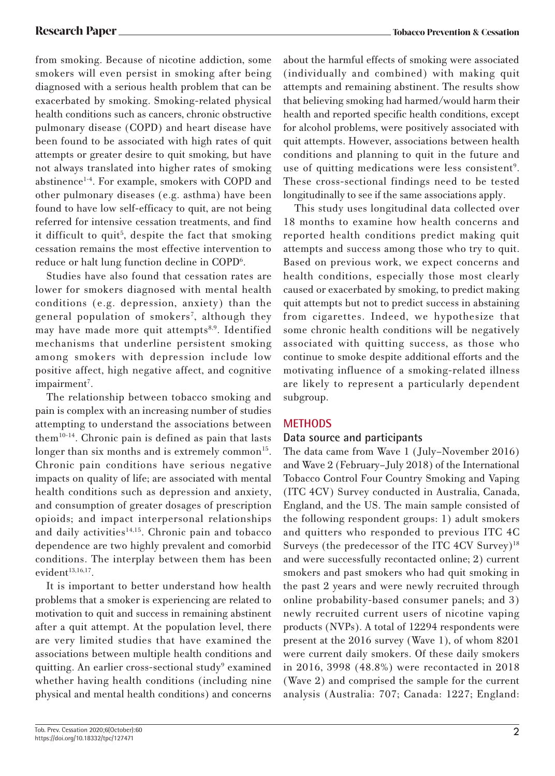from smoking. Because of nicotine addiction, some smokers will even persist in smoking after being diagnosed with a serious health problem that can be exacerbated by smoking. Smoking-related physical health conditions such as cancers, chronic obstructive pulmonary disease (COPD) and heart disease have been found to be associated with high rates of quit attempts or greater desire to quit smoking, but have not always translated into higher rates of smoking abstinence<sup>1-4</sup>. For example, smokers with COPD and other pulmonary diseases (e.g. asthma) have been found to have low self-efficacy to quit, are not being referred for intensive cessation treatments, and find it difficult to quit<sup>5</sup>, despite the fact that smoking cessation remains the most effective intervention to reduce or halt lung function decline in COPD<sup>6</sup>.

Studies have also found that cessation rates are lower for smokers diagnosed with mental health conditions (e.g. depression, anxiety) than the general population of smokers<sup>7</sup>, although they may have made more quit attempts<sup>8,9</sup>. Identified mechanisms that underline persistent smoking among smokers with depression include low positive affect, high negative affect, and cognitive impairment<sup>7</sup>.

The relationship between tobacco smoking and pain is complex with an increasing number of studies attempting to understand the associations between them<sup>10-14</sup>. Chronic pain is defined as pain that lasts longer than six months and is extremely common<sup>15</sup>. Chronic pain conditions have serious negative impacts on quality of life; are associated with mental health conditions such as depression and anxiety, and consumption of greater dosages of prescription opioids; and impact interpersonal relationships and daily activities<sup>14,15</sup>. Chronic pain and tobacco dependence are two highly prevalent and comorbid conditions. The interplay between them has been evident $13,16,17$ .

It is important to better understand how health problems that a smoker is experiencing are related to motivation to quit and success in remaining abstinent after a quit attempt. At the population level, there are very limited studies that have examined the associations between multiple health conditions and quitting. An earlier cross-sectional study<sup>9</sup> examined whether having health conditions (including nine physical and mental health conditions) and concerns

about the harmful effects of smoking were associated (individually and combined) with making quit attempts and remaining abstinent. The results show that believing smoking had harmed/would harm their health and reported specific health conditions, except for alcohol problems, were positively associated with quit attempts. However, associations between health conditions and planning to quit in the future and use of quitting medications were less consistent<sup>9</sup>. These cross-sectional findings need to be tested longitudinally to see if the same associations apply.

This study uses longitudinal data collected over 18 months to examine how health concerns and reported health conditions predict making quit attempts and success among those who try to quit. Based on previous work, we expect concerns and health conditions, especially those most clearly caused or exacerbated by smoking, to predict making quit attempts but not to predict success in abstaining from cigarettes. Indeed, we hypothesize that some chronic health conditions will be negatively associated with quitting success, as those who continue to smoke despite additional efforts and the motivating influence of a smoking-related illness are likely to represent a particularly dependent subgroup.

### **METHODS**

### **Data source and participants**

The data came from Wave 1 (July–November 2016) and Wave 2 (February–July 2018) of the International Tobacco Control Four Country Smoking and Vaping (ITC 4CV) Survey conducted in Australia, Canada, England, and the US. The main sample consisted of the following respondent groups: 1) adult smokers and quitters who responded to previous ITC 4C Surveys (the predecessor of the ITC 4CV Survey)<sup>18</sup> and were successfully recontacted online; 2) current smokers and past smokers who had quit smoking in the past 2 years and were newly recruited through online probability-based consumer panels; and 3) newly recruited current users of nicotine vaping products (NVPs). A total of 12294 respondents were present at the 2016 survey (Wave 1), of whom 8201 were current daily smokers. Of these daily smokers in 2016, 3998 (48.8%) were recontacted in 2018 (Wave 2) and comprised the sample for the current analysis (Australia: 707; Canada: 1227; England: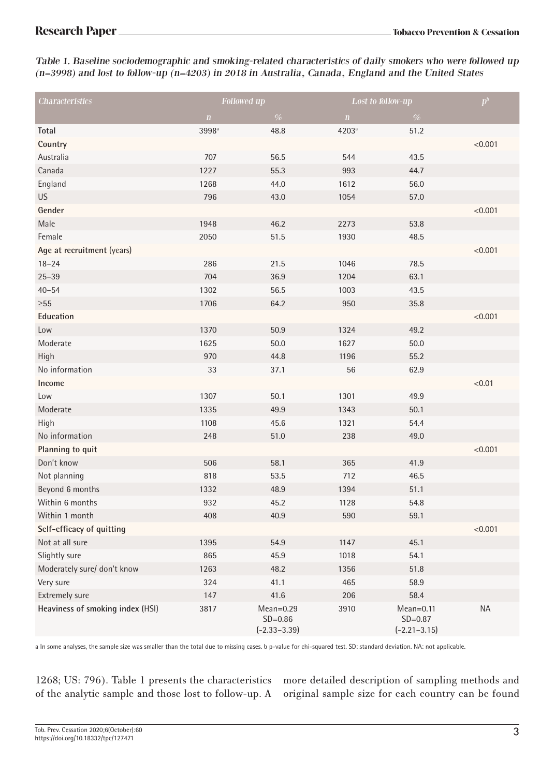Table 1. Baseline sociodemographic and smoking-related characteristics of daily smokers who were followed up (n=3998) and lost to follow-up (n=4203) in 2018 in Australia, Canada, England and the United States

| <b>Characteristics</b>           | Followed up       |                                                | Lost to follow-up |                                                | $p^b$     |
|----------------------------------|-------------------|------------------------------------------------|-------------------|------------------------------------------------|-----------|
|                                  | $\mathbf{n}$      | $\%$                                           | $\mathbf n$       | $\%$                                           |           |
| Total                            | 3998 <sup>a</sup> | 48.8                                           | 4203 <sup>a</sup> | 51.2                                           |           |
| Country                          |                   |                                                |                   |                                                | < 0.001   |
| Australia                        | 707               | 56.5                                           | 544               | 43.5                                           |           |
| Canada                           | 1227              | 55.3                                           | 993               | 44.7                                           |           |
| England                          | 1268              | 44.0                                           | 1612              | 56.0                                           |           |
| <b>US</b>                        | 796               | 43.0                                           | 1054              | 57.0                                           |           |
| Gender                           |                   |                                                |                   |                                                | < 0.001   |
| Male                             | 1948              | 46.2                                           | 2273              | 53.8                                           |           |
| Female                           | 2050              | 51.5                                           | 1930              | 48.5                                           |           |
| Age at recruitment (years)       |                   |                                                |                   |                                                | < 0.001   |
| $18 - 24$                        | 286               | 21.5                                           | 1046              | 78.5                                           |           |
| $25 - 39$                        | 704               | 36.9                                           | 1204              | 63.1                                           |           |
| $40 - 54$                        | 1302              | 56.5                                           | 1003              | 43.5                                           |           |
| ${\geq}55$                       | 1706              | 64.2                                           | 950               | 35.8                                           |           |
| Education                        |                   |                                                |                   |                                                | < 0.001   |
| Low                              | 1370              | 50.9                                           | 1324              | 49.2                                           |           |
| Moderate                         | 1625              | 50.0                                           | 1627              | 50.0                                           |           |
| High                             | 970               | 44.8                                           | 1196              | 55.2                                           |           |
| No information                   | 33                | 37.1                                           | 56                | 62.9                                           |           |
| Income                           |                   |                                                |                   |                                                | < 0.01    |
| Low                              | 1307              | 50.1                                           | 1301              | 49.9                                           |           |
| Moderate                         | 1335              | 49.9                                           | 1343              | 50.1                                           |           |
| High                             | 1108              | 45.6                                           | 1321              | 54.4                                           |           |
| No information                   | 248               | 51.0                                           | 238               | 49.0                                           |           |
| Planning to quit                 |                   |                                                |                   |                                                | < 0.001   |
| Don't know                       | 506               | 58.1                                           | 365               | 41.9                                           |           |
| Not planning                     | 818               | 53.5                                           | 712               | 46.5                                           |           |
| Beyond 6 months                  | 1332              | 48.9                                           | 1394              | 51.1                                           |           |
| Within 6 months                  | 932               | 45.2                                           | 1128              | 54.8                                           |           |
| Within 1 month                   | 408               | 40.9                                           | 590               | 59.1                                           |           |
| Self-efficacy of quitting        |                   |                                                |                   |                                                | < 0.001   |
| Not at all sure                  | 1395              | 54.9                                           | 1147              | 45.1                                           |           |
| Slightly sure                    | 865               | 45.9                                           | 1018              | 54.1                                           |           |
| Moderately sure/ don't know      | 1263              | 48.2                                           | 1356              | 51.8                                           |           |
| Very sure                        | 324               | 41.1                                           | 465               | 58.9                                           |           |
| Extremely sure                   | 147               | 41.6                                           | 206               | 58.4                                           |           |
| Heaviness of smoking index (HSI) | 3817              | $Mean = 0.29$<br>$SD=0.86$<br>$(-2.33 - 3.39)$ | 3910              | $Mean = 0.11$<br>$SD=0.87$<br>$(-2.21 - 3.15)$ | <b>NA</b> |

a In some analyses, the sample size was smaller than the total due to missing cases. b p-value for chi-squared test. SD: standard deviation. NA: not applicable.

1268; US: 796). Table 1 presents the characteristics of the analytic sample and those lost to follow-up. A more detailed description of sampling methods and original sample size for each country can be found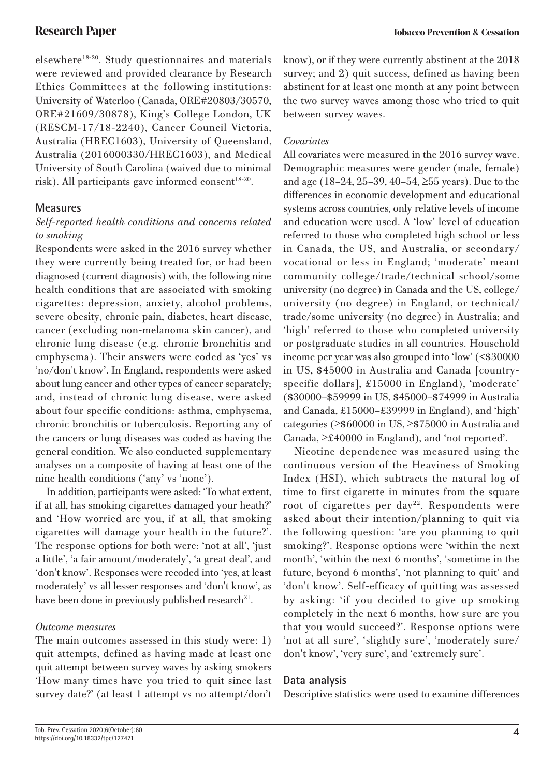elsewhere<sup>18-20</sup>. Study questionnaires and materials were reviewed and provided clearance by Research Ethics Committees at the following institutions: University of Waterloo (Canada, ORE#20803/30570, ORE#21609/30878), King's College London, UK (RESCM-17/18-2240), Cancer Council Victoria, Australia (HREC1603), University of Queensland, Australia (2016000330/HREC1603), and Medical University of South Carolina (waived due to minimal risk). All participants gave informed consent<sup>18-20</sup>.

# **Measures**

### *Self-reported health conditions and concerns related to smoking*

Respondents were asked in the 2016 survey whether they were currently being treated for, or had been diagnosed (current diagnosis) with, the following nine health conditions that are associated with smoking cigarettes: depression, anxiety, alcohol problems, severe obesity, chronic pain, diabetes, heart disease, cancer (excluding non-melanoma skin cancer), and chronic lung disease (e.g. chronic bronchitis and emphysema). Their answers were coded as 'yes' vs 'no/don't know'. In England, respondents were asked about lung cancer and other types of cancer separately; and, instead of chronic lung disease, were asked about four specific conditions: asthma, emphysema, chronic bronchitis or tuberculosis. Reporting any of the cancers or lung diseases was coded as having the general condition. We also conducted supplementary analyses on a composite of having at least one of the nine health conditions ('any' vs 'none').

In addition, participants were asked: 'To what extent, if at all, has smoking cigarettes damaged your heath?' and 'How worried are you, if at all, that smoking cigarettes will damage your health in the future?'. The response options for both were: 'not at all', 'just a little', 'a fair amount/moderately', 'a great deal', and 'don't know'. Responses were recoded into 'yes, at least moderately' vs all lesser responses and 'don't know', as have been done in previously published research<sup>21</sup>.

### *Outcome measures*

The main outcomes assessed in this study were: 1) quit attempts, defined as having made at least one quit attempt between survey waves by asking smokers 'How many times have you tried to quit since last survey date?' (at least 1 attempt vs no attempt/don't know), or if they were currently abstinent at the 2018 survey; and 2) quit success, defined as having been abstinent for at least one month at any point between the two survey waves among those who tried to quit between survey waves.

### *Covariates*

All covariates were measured in the 2016 survey wave. Demographic measures were gender (male, female) and age (18–24, 25–39, 40–54, ≥55 years). Due to the differences in economic development and educational systems across countries, only relative levels of income and education were used. A 'low' level of education referred to those who completed high school or less in Canada, the US, and Australia, or secondary/ vocational or less in England; 'moderate' meant community college/trade/technical school/some university (no degree) in Canada and the US, college/ university (no degree) in England, or technical/ trade/some university (no degree) in Australia; and 'high' referred to those who completed university or postgraduate studies in all countries. Household income per year was also grouped into 'low' (<\$30000 in US, \$45000 in Australia and Canada [countryspecific dollars], £15000 in England), 'moderate' (\$30000–\$59999 in US, \$45000–\$74999 in Australia and Canada, £15000–£39999 in England), and 'high' categories (≥\$60000 in US, ≥\$75000 in Australia and Canada, ≥£40000 in England), and 'not reported'.

Nicotine dependence was measured using the continuous version of the Heaviness of Smoking Index (HSI), which subtracts the natural log of time to first cigarette in minutes from the square root of cigarettes per day<sup>22</sup>. Respondents were asked about their intention/planning to quit via the following question: 'are you planning to quit smoking?'. Response options were 'within the next month', 'within the next 6 months', 'sometime in the future, beyond 6 months', 'not planning to quit' and 'don't know'. Self-efficacy of quitting was assessed by asking: 'if you decided to give up smoking completely in the next 6 months, how sure are you that you would succeed?'. Response options were 'not at all sure', 'slightly sure', 'moderately sure/ don't know', 'very sure', and 'extremely sure'.

# **Data analysis**

Descriptive statistics were used to examine differences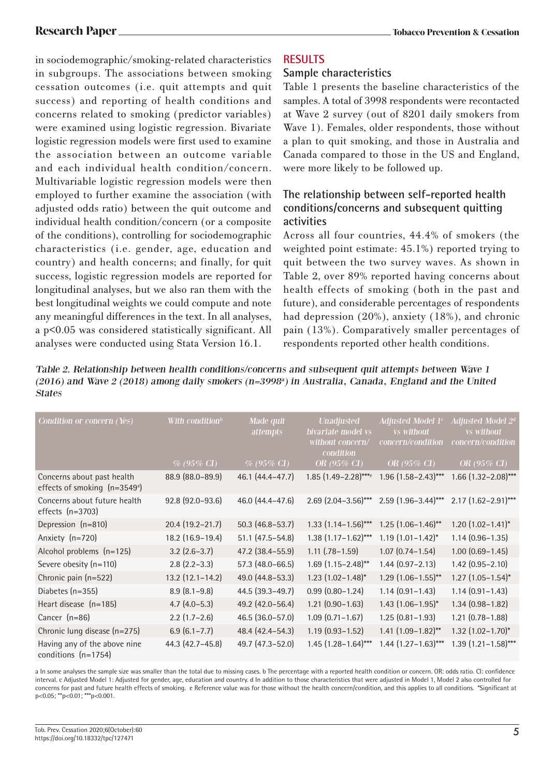in sociodemographic/smoking-related characteristics in subgroups. The associations between smoking cessation outcomes (i.e. quit attempts and quit success) and reporting of health conditions and concerns related to smoking (predictor variables) were examined using logistic regression. Bivariate logistic regression models were first used to examine the association between an outcome variable and each individual health condition/concern. Multivariable logistic regression models were then employed to further examine the association (with adjusted odds ratio) between the quit outcome and individual health condition/concern (or a composite of the conditions), controlling for sociodemographic characteristics (i.e. gender, age, education and country) and health concerns; and finally, for quit success, logistic regression models are reported for longitudinal analyses, but we also ran them with the best longitudinal weights we could compute and note any meaningful differences in the text. In all analyses, a p<0.05 was considered statistically significant. All analyses were conducted using Stata Version 16.1.

# **RESULTS**

# **Sample characteristics**

Table 1 presents the baseline characteristics of the samples. A total of 3998 respondents were recontacted at Wave 2 survey (out of 8201 daily smokers from Wave 1). Females, older respondents, those without a plan to quit smoking, and those in Australia and Canada compared to those in the US and England, were more likely to be followed up.

# **The relationship between self-reported health conditions/concerns and subsequent quitting activities**

Across all four countries, 44.4% of smokers (the weighted point estimate: 45.1%) reported trying to quit between the two survey waves. As shown in Table 2, over 89% reported having concerns about health effects of smoking (both in the past and future), and considerable percentages of respondents had depression (20%), anxiety (18%), and chronic pain (13%). Comparatively smaller percentages of respondents reported other health conditions.

Table 2. Relationship between health conditions/concerns and subsequent quit attempts between Wave 1 (2016) and Wave 2 (2018) among daily smokers (n=3998<sup>a</sup>) in Australia, Canada, England and the United States

| Condition or concern (Yes)                                              | With condition $\mathfrak b$<br>$\%$ (95\% CI) | Made quit<br>attempts<br>$\%$ (95\% CI) | <b>Unadjusted</b><br>bivariate model vs<br>without concern/<br>condition<br>OR $(95\% \text{ CI})$ | Adjusted Model $1^c$<br><i>vs</i> without<br>concern/condition<br>OR $(95\% \text{ CI})$ | Adjusted Model 2 <sup>d</sup><br><i>vs</i> without<br>concern/condition<br>OR $(95\% \text{ CI})$ |
|-------------------------------------------------------------------------|------------------------------------------------|-----------------------------------------|----------------------------------------------------------------------------------------------------|------------------------------------------------------------------------------------------|---------------------------------------------------------------------------------------------------|
|                                                                         |                                                |                                         |                                                                                                    |                                                                                          |                                                                                                   |
| Concerns about past health<br>effects of smoking (n=3549 <sup>a</sup> ) | 88.9 (88.0-89.9)                               | 46.1 (44.4-47.7)                        | $1.85$ (1.49-2.28)****                                                                             | $1.96$ $(1.58 - 2.43)$ ***                                                               | $1.66$ (1.32-2.08)***                                                                             |
| Concerns about future health<br>effects $(n=3703)$                      | 92.8 (92.0-93.6)                               | 46.0 (44.4–47.6)                        | $2.69$ $(2.04-3.56)$ ***                                                                           | $2.59$ (1.96–3.44)***                                                                    | $2.17(1.62 - 2.91)$ ***                                                                           |
| Depression (n=810)                                                      | $20.4(19.2 - 21.7)$                            | $50.3(46.8 - 53.7)$                     | $1.33$ $(1.14 - 1.56)$ ***                                                                         | $1.25$ (1.06-1.46)**                                                                     | $1.20$ $(1.02 - 1.41)^*$                                                                          |
| Anxiety (n=720)                                                         | 18.2 (16.9-19.4)                               | $51.1$ (47.5 - 54.8)                    | $1.38(1.17 - 1.62)$ ***                                                                            | $1.19$ $(1.01 - 1.42)^*$                                                                 | $1.14(0.96 - 1.35)$                                                                               |
| Alcohol problems (n=125)                                                | $3.2$ (2.6–3.7)                                | 47.2 (38.4-55.9)                        | $1.11$ $(.78-1.59)$                                                                                | $1.07(0.74 - 1.54)$                                                                      | $1.00(0.69 - 1.45)$                                                                               |
| Severe obesity (n=110)                                                  | $2.8$ (2.2-3.3)                                | 57.3 (48.0-66.5)                        | $1.69$ (1.15-2.48)**                                                                               | $1.44(0.97 - 2.13)$                                                                      | $1.42$ (0.95-2.10)                                                                                |
| Chronic pain (n=522)                                                    | $13.2$ $(12.1 - 14.2)$                         | 49.0 (44.8-53.3)                        | $1.23$ $(1.02 - 1.48)^*$                                                                           | $1.29$ $(1.06 - 1.55)$ **                                                                | $1.27$ $(1.05 - 1.54)^{*}$                                                                        |
| Diabetes $(n=355)$                                                      | $8.9(8.1-9.8)$                                 | $44.5(39.3-49.7)$                       | $0.99(0.80 - 1.24)$                                                                                | $1.14(0.91 - 1.43)$                                                                      | $1.14(0.91 - 1.43)$                                                                               |
| Heart disease $(n=185)$                                                 | $4.7(4.0-5.3)$                                 | 49.2 (42.0-56.4)                        | $1.21(0.90 - 1.63)$                                                                                | $1.43$ $(1.06 - 1.95)^*$                                                                 | $1.34(0.98 - 1.82)$                                                                               |
| Cancer (n=86)                                                           | $2.2$ (1.7-2.6)                                | 46.5 (36.0-57.0)                        | $1.09(0.71 - 1.67)$                                                                                | $1.25(0.81 - 1.93)$                                                                      | $1.21$ $(0.78 - 1.88)$                                                                            |
| Chronic lung disease (n=275)                                            | $6.9(6.1 - 7.7)$                               | 48.4 (42.4-54.3)                        | $1.19(0.93 - 1.52)$                                                                                | $1.41 (1.09 - 1.82)$ **                                                                  | $1.32$ $(1.02 - 1.70)^*$                                                                          |
| Having any of the above nine<br>conditions (n=1754)                     | 44.3 (42.7-45.8)                               | 49.7 (47.3-52.0)                        | $1.45$ (1.28 – 1.64)***                                                                            | $1.44$ $(1.27 - 1.63)$ ***                                                               | $1.39$ $(1.21 - 1.58)$ ***                                                                        |

a In some analyses the sample size was smaller than the total due to missing cases. b The percentage with a reported health condition or concern. OR: odds ratio. CI: confidence interval. c Adjusted Model 1: Adjusted for gender, age, education and country. d In addition to those characteristics that were adjusted in Model 1, Model 2 also controlled for concerns for past and future health effects of smoking. e Reference value was for those without the health concern/condition, and this applies to all conditions. \*Significant at p<0.05; \*\*p<0.01; \*\*\*p<0.001.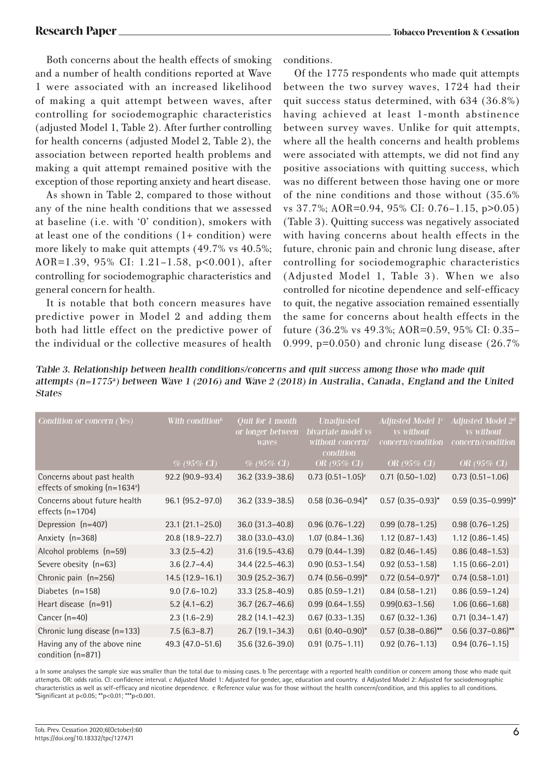Both concerns about the health effects of smoking and a number of health conditions reported at Wave 1 were associated with an increased likelihood of making a quit attempt between waves, after controlling for sociodemographic characteristics (adjusted Model 1, Table 2). After further controlling for health concerns (adjusted Model 2, Table 2), the association between reported health problems and making a quit attempt remained positive with the exception of those reporting anxiety and heart disease.

As shown in Table 2, compared to those without any of the nine health conditions that we assessed at baseline (i.e. with '0' condition), smokers with at least one of the conditions (1+ condition) were more likely to make quit attempts (49.7% vs 40.5%; AOR=1.39, 95% CI: 1.21–1.58, p<0.001), after controlling for sociodemographic characteristics and general concern for health.

It is notable that both concern measures have predictive power in Model 2 and adding them both had little effect on the predictive power of the individual or the collective measures of health conditions.

Of the 1775 respondents who made quit attempts between the two survey waves, 1724 had their quit success status determined, with 634 (36.8%) having achieved at least 1-month abstinence between survey waves. Unlike for quit attempts, where all the health concerns and health problems were associated with attempts, we did not find any positive associations with quitting success, which was no different between those having one or more of the nine conditions and those without (35.6% vs 37.7%; AOR=0.94, 95% CI: 0.76–1.15, p>0.05) (Table 3). Quitting success was negatively associated with having concerns about health effects in the future, chronic pain and chronic lung disease, after controlling for sociodemographic characteristics (Adjusted Model 1, Table 3). When we also controlled for nicotine dependence and self-efficacy to quit, the negative association remained essentially the same for concerns about health effects in the future (36.2% vs 49.3%; AOR=0.59, 95% CI: 0.35– 0.999, p=0.050) and chronic lung disease (26.7%

Table 3. Relationship between health conditions/concerns and quit success among those who made quit attempts  $(n=1775^a)$  between Wave 1 (2016) and Wave 2 (2018) in Australia, Canada, England and the United States

| Condition or concern (Yes)                                  | With condition $^{\rm b}$ | <b>Ouit for 1 month</b><br>or longer between<br>waves | <b>Unadjusted</b><br>bivariate model vs<br>without concern/<br>condition | Adjusted Model $1c$<br><i>vs</i> without<br>concern/condition | Adjusted Model 2 <sup>d</sup><br><i>vs</i> without<br>concern/condition |
|-------------------------------------------------------------|---------------------------|-------------------------------------------------------|--------------------------------------------------------------------------|---------------------------------------------------------------|-------------------------------------------------------------------------|
|                                                             | $\%$ (95% CI)             | $\%$ (95% CI)                                         | OR $(95\% \text{ CI})$                                                   | OR (95% CI)                                                   | OR (95% CI)                                                             |
| Concerns about past health<br>effects of smoking $(n=1634)$ | 92.2 (90.9-93.4)          | $36.2$ (33.9 – 38.6)                                  | $0.73$ $(0.51 - 1.05)^e$                                                 | $0.71$ $(0.50 - 1.02)$                                        | $0.73$ $(0.51 - 1.06)$                                                  |
| Concerns about future health<br>effects $(n=1704)$          | $96.1 (95.2 - 97.0)$      | $36.2$ (33.9 – 38.5)                                  | $0.58$ $(0.36 - 0.94)^*$                                                 | $0.57$ $(0.35 - 0.93)^*$                                      | $0.59$ $(0.35 - 0.999)^*$                                               |
| Depression (n=407)                                          | $23.1(21.1 - 25.0)$       | $36.0$ $(31.3 - 40.8)$                                | $0.96(0.76 - 1.22)$                                                      | $0.99(0.78 - 1.25)$                                           | $0.98(0.76 - 1.25)$                                                     |
| Anxiety (n=368)                                             | 20.8 (18.9-22.7)          | 38.0 (33.0-43.0)                                      | $1.07(0.84 - 1.36)$                                                      | $1.12$ $(0.87 - 1.43)$                                        | $1.12$ $(0.86 - 1.45)$                                                  |
| Alcohol problems (n=59)                                     | $3.3(2.5-4.2)$            | $31.6$ (19.5-43.6)                                    | $0.79$ $(0.44 - 1.39)$                                                   | $0.82$ (0.46-1.45)                                            | $0.86$ (0.48-1.53)                                                      |
| Severe obesity $(n=63)$                                     | $3.6(2.7-4.4)$            | 34.4 (22.5–46.3)                                      | $0.90(0.53 - 1.54)$                                                      | $0.92$ $(0.53 - 1.58)$                                        | $1.15(0.66 - 2.01)$                                                     |
| Chronic pain $(n=256)$                                      | $14.5(12.9-16.1)$         | $30.9$ (25.2-36.7)                                    | $0.74$ $(0.56 - 0.99)^*$                                                 | $0.72$ $(0.54 - 0.97)^*$                                      | $0.74(0.58 - 1.01)$                                                     |
| Diabetes (n=158)                                            | $9.0(7.6-10.2)$           | $33.3(25.8 - 40.9)$                                   | $0.85(0.59 - 1.21)$                                                      | $0.84(0.58 - 1.21)$                                           | $0.86$ $(0.59 - 1.24)$                                                  |
| Heart disease (n=91)                                        | $5.2$ (4.1-6.2)           | $36.7$ $(26.7 - 46.6)$                                | $0.99(0.64 - 1.55)$                                                      | $0.99(0.63 - 1.56)$                                           | $1.06(0.66 - 1.68)$                                                     |
| Cancer $(n=40)$                                             | $2.3(1.6-2.9)$            | 28.2 (14.1-42.3)                                      | $0.67$ $(0.33 - 1.35)$                                                   | $0.67$ $(0.32 - 1.36)$                                        | $0.71$ $(0.34 - 1.47)$                                                  |
| Chronic lung disease (n=133)                                | $7.5(6.3-8.7)$            | 26.7 (19.1-34.3)                                      | $0.61$ $(0.40 - 0.90)^*$                                                 | $0.57$ $(0.38 - 0.86)$ **                                     | $0.56$ $(0.37 - 0.86)$ **                                               |
| Having any of the above nine<br>condition (n=871)           | 49.3 (47.0-51.6)          | $35.6(32.6-39.0)$                                     | $0.91(0.75 - 1.11)$                                                      | $0.92$ (0.76-1.13)                                            | $0.94(0.76 - 1.15)$                                                     |

a In some analyses the sample size was smaller than the total due to missing cases. b The percentage with a reported health condition or concern among those who made quit attempts. OR: odds ratio. CI: confidence interval. c Adjusted Model 1: Adjusted for gender, age, education and country. d Adjusted Model 2: Adjusted for sociodemographic characteristics as well as self-efficacy and nicotine dependence. e Reference value was for those without the health concern/condition, and this applies to all conditions. \*Significant at p<0.05; \*\*p<0.01; \*\*\*p<0.001.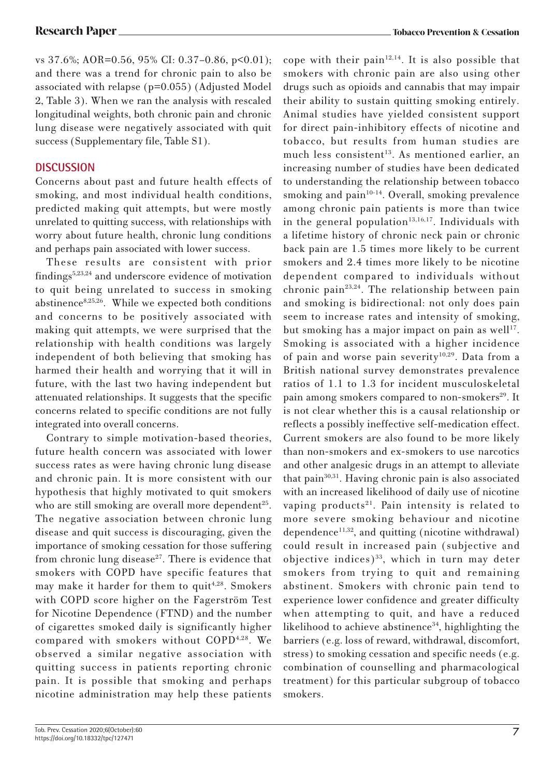vs 37.6%; AOR=0.56, 95% CI: 0.37–0.86, p<0.01); and there was a trend for chronic pain to also be associated with relapse (p=0.055) (Adjusted Model 2, Table 3). When we ran the analysis with rescaled longitudinal weights, both chronic pain and chronic lung disease were negatively associated with quit success (Supplementary file, Table S1).

# **DISCUSSION**

Concerns about past and future health effects of smoking, and most individual health conditions, predicted making quit attempts, but were mostly unrelated to quitting success, with relationships with worry about future health, chronic lung conditions and perhaps pain associated with lower success.

These results are consistent with prior findings5,23,24 and underscore evidence of motivation to quit being unrelated to success in smoking abstinence<sup>8,25,26</sup>. While we expected both conditions and concerns to be positively associated with making quit attempts, we were surprised that the relationship with health conditions was largely independent of both believing that smoking has harmed their health and worrying that it will in future, with the last two having independent but attenuated relationships. It suggests that the specific concerns related to specific conditions are not fully integrated into overall concerns.

Contrary to simple motivation-based theories, future health concern was associated with lower success rates as were having chronic lung disease and chronic pain. It is more consistent with our hypothesis that highly motivated to quit smokers who are still smoking are overall more dependent<sup>25</sup>. The negative association between chronic lung disease and quit success is discouraging, given the importance of smoking cessation for those suffering from chronic lung disease $27$ . There is evidence that smokers with COPD have specific features that may make it harder for them to quit<sup>4,28</sup>. Smokers with COPD score higher on the Fagerström Test for Nicotine Dependence (FTND) and the number of cigarettes smoked daily is significantly higher compared with smokers without COPD4,28. We observed a similar negative association with quitting success in patients reporting chronic pain. It is possible that smoking and perhaps nicotine administration may help these patients

cope with their pain $12,14$ . It is also possible that smokers with chronic pain are also using other drugs such as opioids and cannabis that may impair their ability to sustain quitting smoking entirely. Animal studies have yielded consistent support for direct pain-inhibitory effects of nicotine and tobacco, but results from human studies are much less consistent<sup>13</sup>. As mentioned earlier, an increasing number of studies have been dedicated to understanding the relationship between tobacco smoking and pain $10-14$ . Overall, smoking prevalence among chronic pain patients is more than twice in the general population<sup>13,16,17</sup>. Individuals with a lifetime history of chronic neck pain or chronic back pain are 1.5 times more likely to be current smokers and 2.4 times more likely to be nicotine dependent compared to individuals without chronic pain<sup>23,24</sup>. The relationship between pain and smoking is bidirectional: not only does pain seem to increase rates and intensity of smoking, but smoking has a major impact on pain as well<sup>17</sup>. Smoking is associated with a higher incidence of pain and worse pain severity<sup>10,29</sup>. Data from a British national survey demonstrates prevalence ratios of 1.1 to 1.3 for incident musculoskeletal pain among smokers compared to non-smokers<sup>29</sup>. It is not clear whether this is a causal relationship or reflects a possibly ineffective self-medication effect. Current smokers are also found to be more likely than non-smokers and ex-smokers to use narcotics and other analgesic drugs in an attempt to alleviate that pain30,31. Having chronic pain is also associated with an increased likelihood of daily use of nicotine vaping products<sup>21</sup>. Pain intensity is related to more severe smoking behaviour and nicotine dependence $11,32$ , and quitting (nicotine withdrawal) could result in increased pain (subjective and objective indices) $33$ , which in turn may deter smokers from trying to quit and remaining abstinent. Smokers with chronic pain tend to experience lower confidence and greater difficulty when attempting to quit, and have a reduced likelihood to achieve abstinence<sup>34</sup>, highlighting the barriers (e.g. loss of reward, withdrawal, discomfort, stress) to smoking cessation and specific needs (e.g. combination of counselling and pharmacological treatment) for this particular subgroup of tobacco smokers.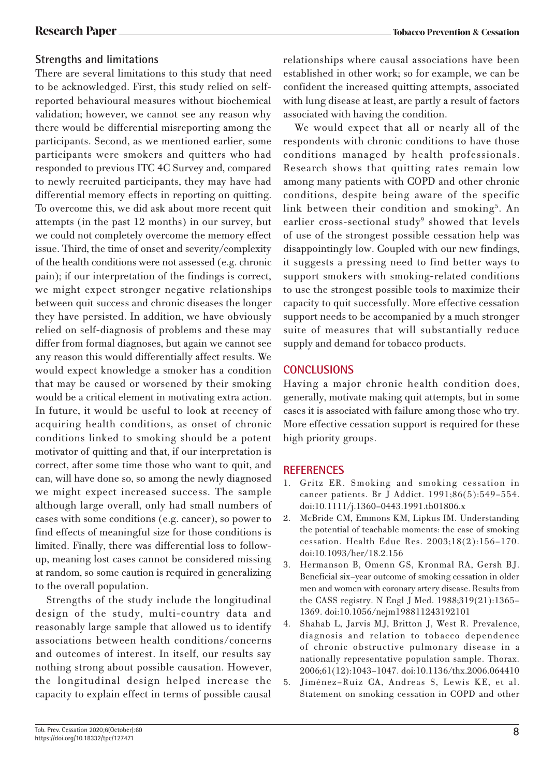# **Strengths and limitations**

There are several limitations to this study that need to be acknowledged. First, this study relied on selfreported behavioural measures without biochemical validation; however, we cannot see any reason why there would be differential misreporting among the participants. Second, as we mentioned earlier, some participants were smokers and quitters who had responded to previous ITC 4C Survey and, compared to newly recruited participants, they may have had differential memory effects in reporting on quitting. To overcome this, we did ask about more recent quit attempts (in the past 12 months) in our survey, but we could not completely overcome the memory effect issue. Third, the time of onset and severity/complexity of the health conditions were not assessed (e.g. chronic pain); if our interpretation of the findings is correct, we might expect stronger negative relationships between quit success and chronic diseases the longer they have persisted. In addition, we have obviously relied on self-diagnosis of problems and these may differ from formal diagnoses, but again we cannot see any reason this would differentially affect results. We would expect knowledge a smoker has a condition that may be caused or worsened by their smoking would be a critical element in motivating extra action. In future, it would be useful to look at recency of acquiring health conditions, as onset of chronic conditions linked to smoking should be a potent motivator of quitting and that, if our interpretation is correct, after some time those who want to quit, and can, will have done so, so among the newly diagnosed we might expect increased success. The sample although large overall, only had small numbers of cases with some conditions (e.g. cancer), so power to find effects of meaningful size for those conditions is limited. Finally, there was differential loss to followup, meaning lost cases cannot be considered missing at random, so some caution is required in generalizing to the overall population.

Strengths of the study include the longitudinal design of the study, multi-country data and reasonably large sample that allowed us to identify associations between health conditions/concerns and outcomes of interest. In itself, our results say nothing strong about possible causation. However, the longitudinal design helped increase the capacity to explain effect in terms of possible causal

relationships where causal associations have been established in other work; so for example, we can be confident the increased quitting attempts, associated with lung disease at least, are partly a result of factors associated with having the condition.

We would expect that all or nearly all of the respondents with chronic conditions to have those conditions managed by health professionals. Research shows that quitting rates remain low among many patients with COPD and other chronic conditions, despite being aware of the specific link between their condition and smoking<sup>5</sup>. An earlier cross-sectional study<sup>9</sup> showed that levels of use of the strongest possible cessation help was disappointingly low. Coupled with our new findings, it suggests a pressing need to find better ways to support smokers with smoking-related conditions to use the strongest possible tools to maximize their capacity to quit successfully. More effective cessation support needs to be accompanied by a much stronger suite of measures that will substantially reduce supply and demand for tobacco products.

# **CONCLUSIONS**

Having a major chronic health condition does, generally, motivate making quit attempts, but in some cases it is associated with failure among those who try. More effective cessation support is required for these high priority groups.

### **REFERENCES**

- 1. Gritz ER. Smoking and smoking cessation in cancer patients. Br J Addict. 1991;86(5):549–554. doi:10.1111/j.1360–0443.1991.tb01806.x
- 2. McBride CM, Emmons KM, Lipkus IM. Understanding the potential of teachable moments: the case of smoking cessation. Health Educ Res. 2003;18(2):156–170. doi:10.1093/her/18.2.156
- 3. Hermanson B, Omenn GS, Kronmal RA, Gersh BJ. Beneficial six–year outcome of smoking cessation in older men and women with coronary artery disease. Results from the CASS registry. N Engl J Med. 1988;319(21):1365– 1369. doi:10.1056/nejm198811243192101
- 4. Shahab L, Jarvis MJ, Britton J, West R. Prevalence, diagnosis and relation to tobacco dependence of chronic obstructive pulmonary disease in a nationally representative population sample. Thorax. 2006;61(12):1043–1047. doi:10.1136/thx.2006.064410
- 5. Jiménez–Ruiz CA, Andreas S, Lewis KE, et al. Statement on smoking cessation in COPD and other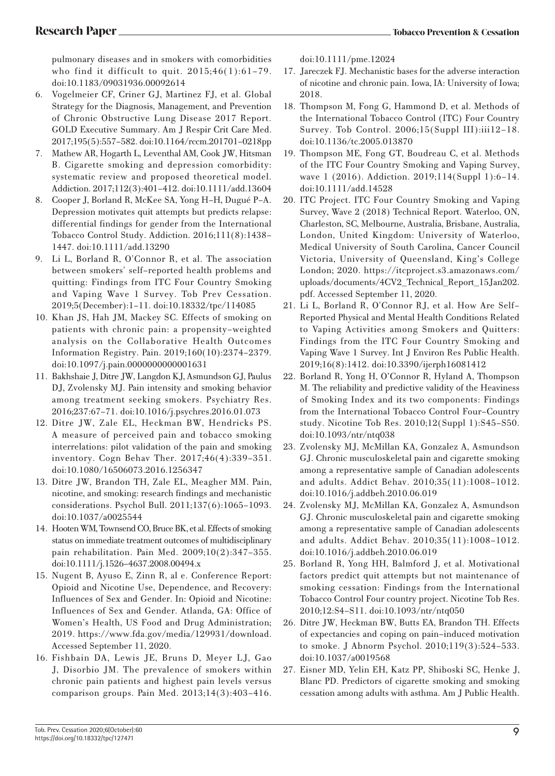pulmonary diseases and in smokers with comorbidities who find it difficult to quit.  $2015;46(1):61-79$ . doi:10.1183/09031936.00092614

- 6. Vogelmeier CF, Criner GJ, Martinez FJ, et al. Global Strategy for the Diagnosis, Management, and Prevention of Chronic Obstructive Lung Disease 2017 Report. GOLD Executive Summary. Am J Respir Crit Care Med. 2017;195(5):557–582. doi:10.1164/rccm.201701–0218pp
- 7. Mathew AR, Hogarth L, Leventhal AM, Cook JW, Hitsman B. Cigarette smoking and depression comorbidity: systematic review and proposed theoretical model. Addiction. 2017;112(3):401–412. doi:10.1111/add.13604
- 8. Cooper J, Borland R, McKee SA, Yong H–H, Dugué P–A. Depression motivates quit attempts but predicts relapse: differential findings for gender from the International Tobacco Control Study. Addiction. 2016;111(8):1438– 1447. doi:10.1111/add.13290
- 9. Li L, Borland R, O'Connor R, et al. The association between smokers' self–reported health problems and quitting: Findings from ITC Four Country Smoking and Vaping Wave 1 Survey. Tob Prev Cessation. 2019;5(December):1–11. doi:10.18332/tpc/114085
- 10. Khan JS, Hah JM, Mackey SC. Effects of smoking on patients with chronic pain: a propensity–weighted analysis on the Collaborative Health Outcomes Information Registry. Pain. 2019;160(10):2374–2379. doi:10.1097/j.pain.0000000000001631
- 11. Bakhshaie J, Ditre JW, Langdon KJ, Asmundson GJ, Paulus DJ, Zvolensky MJ. Pain intensity and smoking behavior among treatment seeking smokers. Psychiatry Res. 2016;237:67–71. doi:10.1016/j.psychres.2016.01.073
- 12. Ditre JW, Zale EL, Heckman BW, Hendricks PS. A measure of perceived pain and tobacco smoking interrelations: pilot validation of the pain and smoking inventory. Cogn Behav Ther. 2017;46(4):339–351. doi:10.1080/16506073.2016.1256347
- 13. Ditre JW, Brandon TH, Zale EL, Meagher MM. Pain, nicotine, and smoking: research findings and mechanistic considerations. Psychol Bull. 2011;137(6):1065–1093. doi:10.1037/a0025544
- 14. Hooten WM, Townsend CO, Bruce BK, et al. Effects of smoking status on immediate treatment outcomes of multidisciplinary pain rehabilitation. Pain Med. 2009;10(2):347–355. doi:10.1111/j.1526–4637.2008.00494.x
- 15. Nugent B, Ayuso E, Zinn R, al e. Conference Report: Opioid and Nicotine Use, Dependence, and Recovery: Influences of Sex and Gender. In: Opioid and Nicotine: Influences of Sex and Gender. Atlanda, GA: Office of Women's Health, US Food and Drug Administration; 2019. https://www.fda.gov/media/129931/download. Accessed September 11, 2020.
- 16. Fishbain DA, Lewis JE, Bruns D, Meyer LJ, Gao J, Disorbio JM. The prevalence of smokers within chronic pain patients and highest pain levels versus comparison groups. Pain Med. 2013;14(3):403–416.

doi:10.1111/pme.12024

- 17. Jareczek FJ. Mechanistic bases for the adverse interaction of nicotine and chronic pain. Iowa, IA: University of Iowa; 2018.
- 18. Thompson M, Fong G, Hammond D, et al. Methods of the International Tobacco Control (ITC) Four Country Survey. Tob Control. 2006;15(Suppl III):iii12–18. doi:10.1136/tc.2005.013870
- 19. Thompson ME, Fong GT, Boudreau C, et al. Methods of the ITC Four Country Smoking and Vaping Survey, wave 1 (2016). Addiction. 2019;114(Suppl 1):6–14. doi:10.1111/add.14528
- 20. ITC Project. ITC Four Country Smoking and Vaping Survey, Wave 2 (2018) Technical Report. Waterloo, ON, Charleston, SC, Melbourne, Australia, Brisbane, Australia, London, United Kingdom: University of Waterloo, Medical University of South Carolina, Cancer Council Victoria, University of Queensland, King's College London; 2020. https://itcproject.s3.amazonaws.com/ uploads/documents/4CV2\_Technical\_Report\_15Jan202. pdf. Accessed September 11, 2020.
- 21. Li L, Borland R, O'Connor RJ, et al. How Are Self– Reported Physical and Mental Health Conditions Related to Vaping Activities among Smokers and Quitters: Findings from the ITC Four Country Smoking and Vaping Wave 1 Survey. Int J Environ Res Public Health. 2019;16(8):1412. doi:10.3390/ijerph16081412
- 22. Borland R, Yong H, O'Connor R, Hyland A, Thompson M. The reliability and predictive validity of the Heaviness of Smoking Index and its two components: Findings from the International Tobacco Control Four–Country study. Nicotine Tob Res. 2010;12(Suppl 1):S45–S50. doi:10.1093/ntr/ntq038
- 23. Zvolensky MJ, McMillan KA, Gonzalez A, Asmundson GJ. Chronic musculoskeletal pain and cigarette smoking among a representative sample of Canadian adolescents and adults. Addict Behav. 2010;35(11):1008–1012. doi:10.1016/j.addbeh.2010.06.019
- 24. Zvolensky MJ, McMillan KA, Gonzalez A, Asmundson GJ. Chronic musculoskeletal pain and cigarette smoking among a representative sample of Canadian adolescents and adults. Addict Behav. 2010;35(11):1008–1012. doi:10.1016/j.addbeh.2010.06.019
- 25. Borland R, Yong HH, Balmford J, et al. Motivational factors predict quit attempts but not maintenance of smoking cessation: Findings from the International Tobacco Control Four country project. Nicotine Tob Res. 2010;12:S4–S11. doi:10.1093/ntr/ntq050
- 26. Ditre JW, Heckman BW, Butts EA, Brandon TH. Effects of expectancies and coping on pain–induced motivation to smoke. J Abnorm Psychol. 2010;119(3):524–533. doi:10.1037/a0019568
- 27. Eisner MD, Yelin EH, Katz PP, Shiboski SC, Henke J, Blanc PD. Predictors of cigarette smoking and smoking cessation among adults with asthma. Am J Public Health.